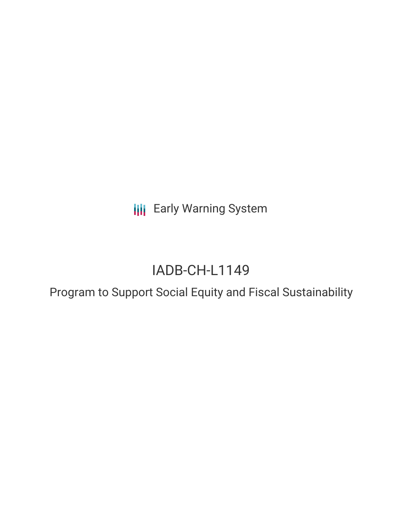**III** Early Warning System

# IADB-CH-L1149

Program to Support Social Equity and Fiscal Sustainability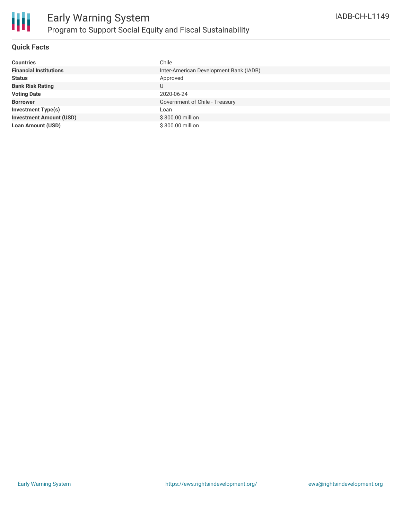

### **Quick Facts**

| <b>Countries</b>               | Chile                                  |
|--------------------------------|----------------------------------------|
| <b>Financial Institutions</b>  | Inter-American Development Bank (IADB) |
| <b>Status</b>                  | Approved                               |
| <b>Bank Risk Rating</b>        | U                                      |
| <b>Voting Date</b>             | 2020-06-24                             |
| <b>Borrower</b>                | Government of Chile - Treasury         |
| <b>Investment Type(s)</b>      | Loan                                   |
| <b>Investment Amount (USD)</b> | \$300.00 million                       |
| <b>Loan Amount (USD)</b>       | \$300.00 million                       |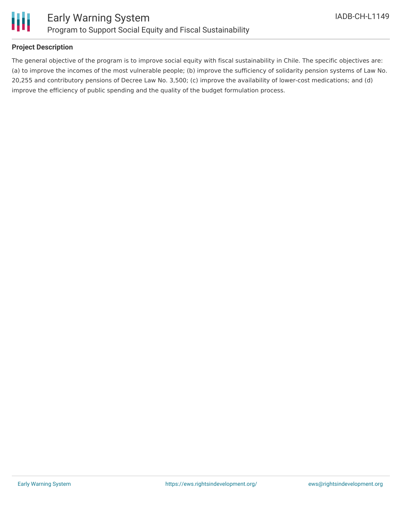

### **Project Description**

The general objective of the program is to improve social equity with fiscal sustainability in Chile. The specific objectives are: (a) to improve the incomes of the most vulnerable people; (b) improve the sufficiency of solidarity pension systems of Law No. 20,255 and contributory pensions of Decree Law No. 3,500; (c) improve the availability of lower-cost medications; and (d) improve the efficiency of public spending and the quality of the budget formulation process.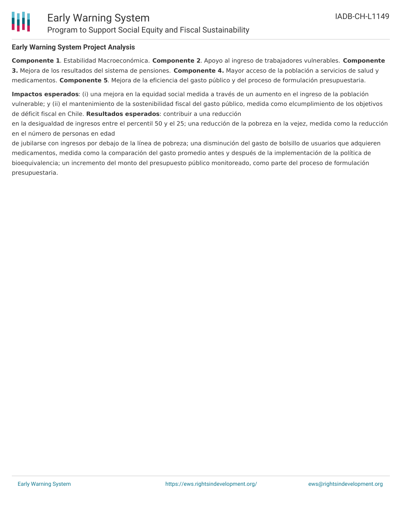### **Early Warning System Project Analysis**

**Componente 1**. Estabilidad Macroeconómica. **Componente 2**. Apoyo al ingreso de trabajadores vulnerables. **Componente 3.** Mejora de los resultados del sistema de pensiones. **Componente 4.** Mayor acceso de la población a servicios de salud y medicamentos. **Componente 5**. Mejora de la eficiencia del gasto público y del proceso de formulación presupuestaria.

**Impactos esperados**: (i) una mejora en la equidad social medida a través de un aumento en el ingreso de la población vulnerable; y (ii) el mantenimiento de la sostenibilidad fiscal del gasto público, medida como elcumplimiento de los objetivos de déficit fiscal en Chile. **Resultados esperados**: contribuir a una reducción

en la desigualdad de ingresos entre el percentil 50 y el 25; una reducción de la pobreza en la vejez, medida como la reducción en el número de personas en edad

de jubilarse con ingresos por debajo de la línea de pobreza; una disminución del gasto de bolsillo de usuarios que adquieren medicamentos, medida como la comparación del gasto promedio antes y después de la implementación de la política de bioequivalencia; un incremento del monto del presupuesto público monitoreado, como parte del proceso de formulación presupuestaria.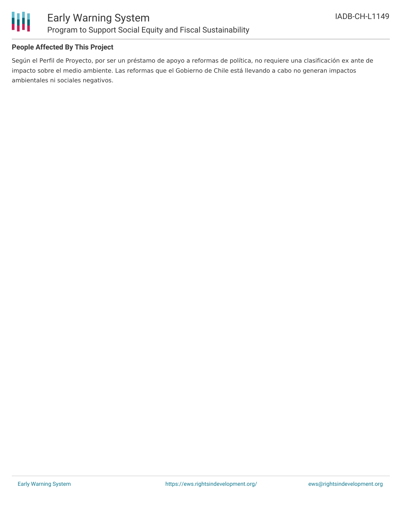

### Early Warning System Program to Support Social Equity and Fiscal Sustainability

### **People Affected By This Project**

Según el Perfil de Proyecto, por ser un préstamo de apoyo a reformas de política, no requiere una clasificación ex ante de impacto sobre el medio ambiente. Las reformas que el Gobierno de Chile está llevando a cabo no generan impactos ambientales ni sociales negativos.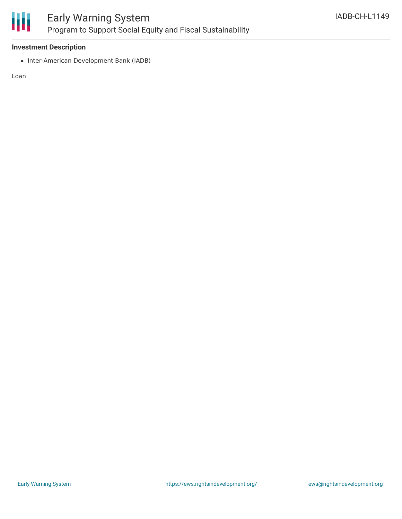

## Early Warning System Program to Support Social Equity and Fiscal Sustainability

### **Investment Description**

• Inter-American Development Bank (IADB)

Loan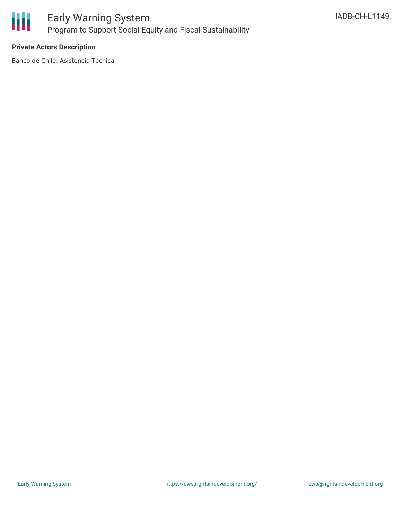

### **Private Actors Description**

Banco de Chile: Asistencia Técnica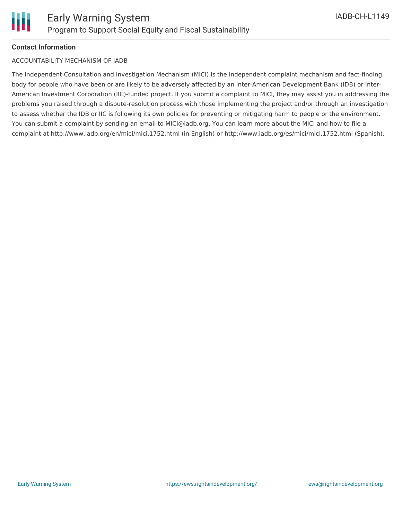### **Contact Information**

### ACCOUNTABILITY MECHANISM OF IADB

The Independent Consultation and Investigation Mechanism (MICI) is the independent complaint mechanism and fact-finding body for people who have been or are likely to be adversely affected by an Inter-American Development Bank (IDB) or Inter-American Investment Corporation (IIC)-funded project. If you submit a complaint to MICI, they may assist you in addressing the problems you raised through a dispute-resolution process with those implementing the project and/or through an investigation to assess whether the IDB or IIC is following its own policies for preventing or mitigating harm to people or the environment. You can submit a complaint by sending an email to MICI@iadb.org. You can learn more about the MICI and how to file a complaint at http://www.iadb.org/en/mici/mici,1752.html (in English) or http://www.iadb.org/es/mici/mici,1752.html (Spanish).